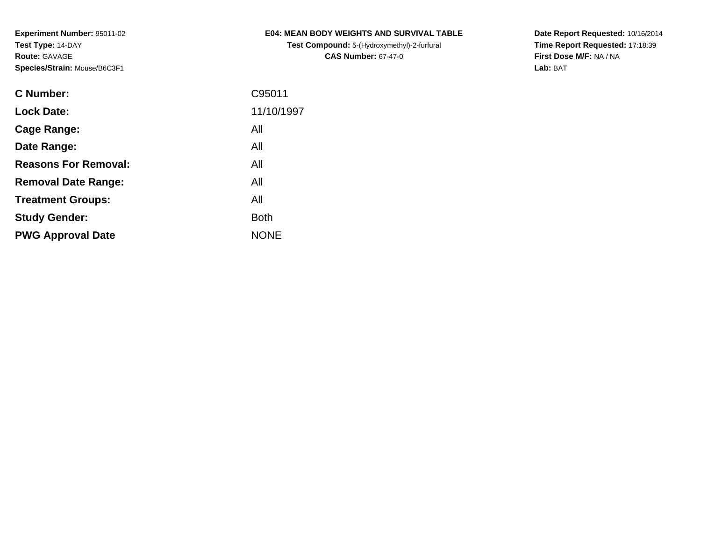**Test Compound:** 5-(Hydroxymethyl)-2-furfural **CAS Number:** 67-47-0

**Date Report Requested:** 10/16/2014 **Time Report Requested:** 17:18:39**First Dose M/F:** NA / NA**Lab:** BAT

| <b>C</b> Number:            | C95011      |
|-----------------------------|-------------|
| <b>Lock Date:</b>           | 11/10/1997  |
| Cage Range:                 | All         |
| Date Range:                 | All         |
| <b>Reasons For Removal:</b> | All         |
| <b>Removal Date Range:</b>  | All         |
| <b>Treatment Groups:</b>    | All         |
| <b>Study Gender:</b>        | <b>Both</b> |
| <b>PWG Approval Date</b>    | <b>NONE</b> |
|                             |             |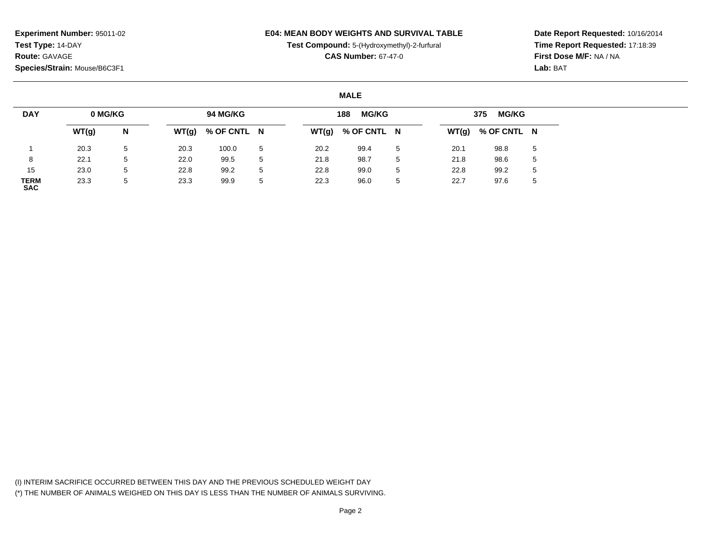### **E04: MEAN BODY WEIGHTS AND SURVIVAL TABLE**

**Test Compound:** 5-(Hydroxymethyl)-2-furfural

**CAS Number:** 67-47-0

**Date Report Requested:** 10/16/2014**Time Report Requested:** 17:18:39**First Dose M/F:** NA / NA**Lab:** BAT

#### **MALE**

| <b>DAY</b>                | 0 MG/KG |                 |      | 94 MG/KG            |   |      | <b>MG/KG</b><br>188 |   |      | <b>MG/KG</b><br>375 |              |
|---------------------------|---------|-----------------|------|---------------------|---|------|---------------------|---|------|---------------------|--------------|
|                           | WT(g)   | N               |      | $WT(g)$ % OF CNTL N |   |      | $WT(g)$ % OF CNTL N |   |      | $WT(g)$ % OF CNTL N |              |
|                           | 20.3    | $5\overline{)}$ | 20.3 | 100.0               | 5 | 20.2 | 99.4                | 5 | 20.1 | 98.8                | 5            |
| 8                         | 22.1    | 5               | 22.0 | 99.5                | 5 | 21.8 | 98.7                | 5 | 21.8 | 98.6                | 5            |
| 15                        | 23.0    | 5               | 22.8 | 99.2                | 5 | 22.8 | 99.0                | 5 | 22.8 | 99.2                | 5            |
| <b>TERM</b><br><b>SAC</b> | 23.3    | 5               | 23.3 | 99.9                | 5 | 22.3 | 96.0                | 5 | 22.7 | 97.6                | $\mathbf{p}$ |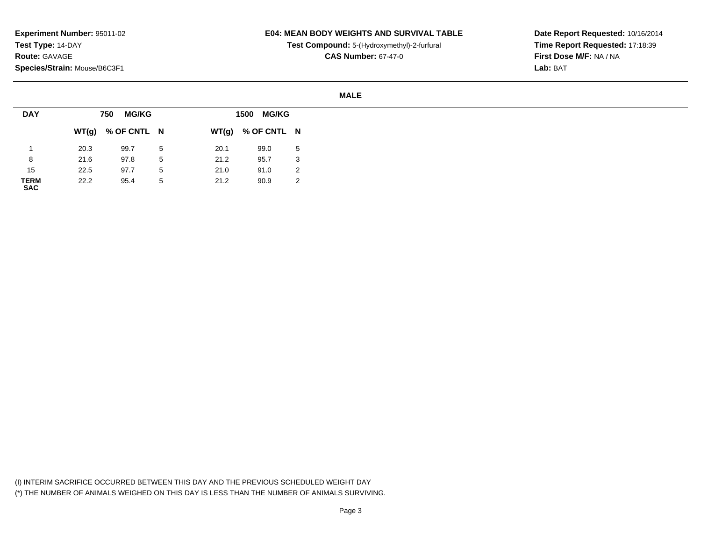### **E04: MEAN BODY WEIGHTS AND SURVIVAL TABLE**

**Test Compound:** 5-(Hydroxymethyl)-2-furfural

**CAS Number:** 67-47-0

**Date Report Requested:** 10/16/2014**Time Report Requested:** 17:18:39**First Dose M/F:** NA / NA**Lab:** BAT

#### **MALE**

| <b>DAY</b>          |      | <b>MG/KG</b><br>750 |   |       | 1500 MG/KG  |    |
|---------------------|------|---------------------|---|-------|-------------|----|
|                     |      | $WT(g)$ % OF CNTL N |   | WT(g) | % OF CNTL N |    |
|                     | 20.3 | 99.7                | 5 | 20.1  | 99.0        | -5 |
| 8                   | 21.6 | 97.8                | 5 | 21.2  | 95.7        | 3  |
| 15                  | 22.5 | 97.7                | 5 | 21.0  | 91.0        | 2  |
| <b>TERM<br/>SAC</b> | 22.2 | 95.4                | 5 | 21.2  | 90.9        | 2  |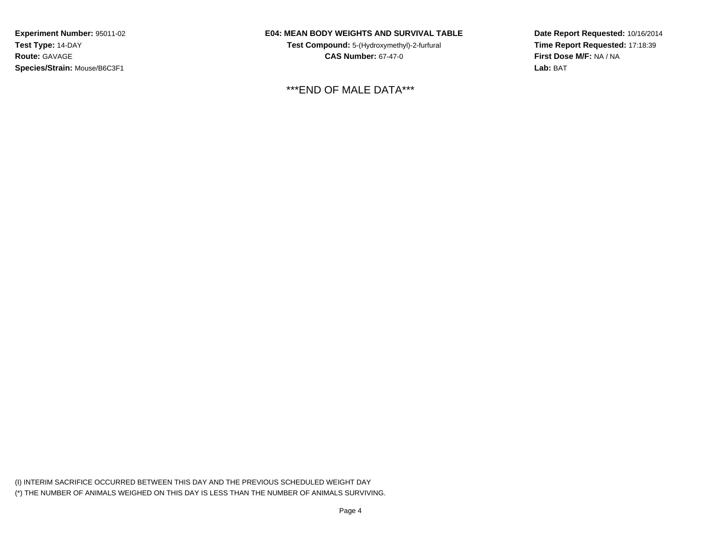### **E04: MEAN BODY WEIGHTS AND SURVIVAL TABLE**

**Test Compound:** 5-(Hydroxymethyl)-2-furfural **CAS Number:** 67-47-0

\*\*\*END OF MALE DATA\*\*\*

**Date Report Requested:** 10/16/2014**Time Report Requested:** 17:18:39**First Dose M/F:** NA / NA**Lab:** BAT

(I) INTERIM SACRIFICE OCCURRED BETWEEN THIS DAY AND THE PREVIOUS SCHEDULED WEIGHT DAY(\*) THE NUMBER OF ANIMALS WEIGHED ON THIS DAY IS LESS THAN THE NUMBER OF ANIMALS SURVIVING.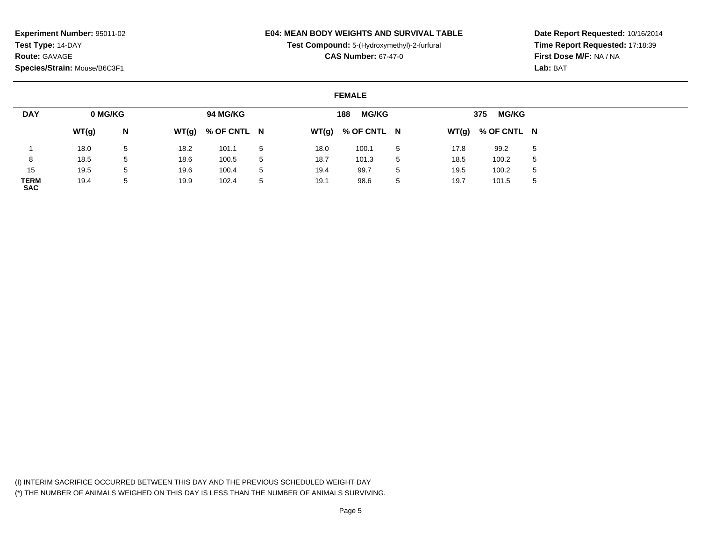### **E04: MEAN BODY WEIGHTS AND SURVIVAL TABLE**

**Test Compound:** 5-(Hydroxymethyl)-2-furfural

**CAS Number:** 67-47-0

**Date Report Requested:** 10/16/2014**Time Report Requested:** 17:18:39**First Dose M/F:** NA / NA**Lab:** BAT

#### **FEMALE**

| <b>DAY</b>                | 0 MG/KG |   |      | 94 MG/KG            |   |      | <b>MG/KG</b><br>188 |   |       | <b>MG/KG</b><br>375 |             |
|---------------------------|---------|---|------|---------------------|---|------|---------------------|---|-------|---------------------|-------------|
|                           | WT(g)   | N |      | $WT(g)$ % OF CNTL N |   |      | $WT(g)$ % OF CNTL N |   | WT(g) | % OF CNTL N         |             |
|                           | 18.0    | 5 | 18.2 | 101.1               | 5 | 18.0 | 100.1               | 5 | 17.8  | 99.2                | $5^{\circ}$ |
| 8                         | 18.5    | 5 | 18.6 | 100.5               | 5 | 18.7 | 101.3               | 5 | 18.5  | 100.2               | 5           |
| 15                        | 19.5    | 5 | 19.6 | 100.4               | 5 | 19.4 | 99.7                | 5 | 19.5  | 100.2               | 5           |
| <b>TERM</b><br><b>SAC</b> | 19.4    | 5 | 19.9 | 102.4               | 5 | 19.1 | 98.6                | 5 | 19.7  | 101.5               | 5           |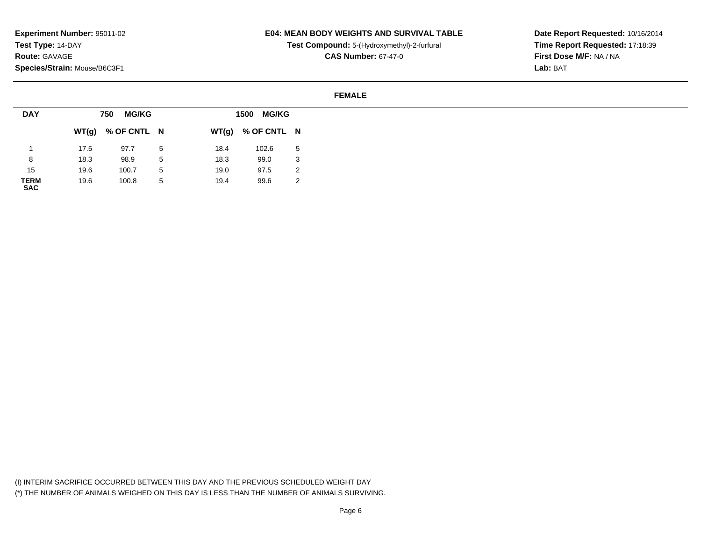### **E04: MEAN BODY WEIGHTS AND SURVIVAL TABLE**

**Test Compound:** 5-(Hydroxymethyl)-2-furfural

**CAS Number:** 67-47-0

**Date Report Requested:** 10/16/2014**Time Report Requested:** 17:18:39**First Dose M/F:** NA / NA**Lab:** BAT

#### **FEMALE**

| <b>DAY</b>          |      | <b>MG/KG</b><br>750 |   |       | 1500 MG/KG  |   |
|---------------------|------|---------------------|---|-------|-------------|---|
|                     |      | $WT(g)$ % OF CNTL N |   | WT(g) | % OF CNTL N |   |
|                     | 17.5 | 97.7                | 5 | 18.4  | 102.6       | 5 |
| 8                   | 18.3 | 98.9                | 5 | 18.3  | 99.0        | 3 |
| 15                  | 19.6 | 100.7               | 5 | 19.0  | 97.5        | 2 |
| <b>TERM<br/>SAC</b> | 19.6 | 100.8               | 5 | 19.4  | 99.6        | 2 |